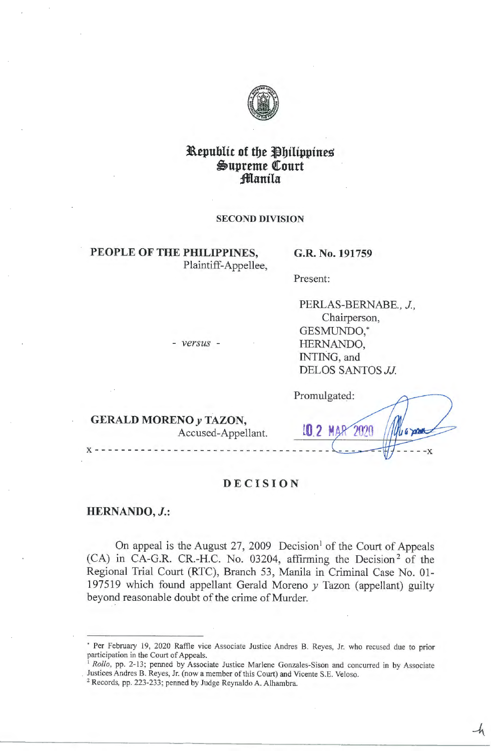

# **Republic of the Philippines**  $\mathfrak{S}$ upreme Court **:fflanila**

### **SECOND DIVISION**

# **PEOPLE OF THE PHILIPPINES,**  Plaintiff-Appellee,

- *versus* -

### **G.R. No. 191759**

Present:

PERLAS-BERNABE., *J.*, Chairperson, GESMUNDO,\* HERNANDO, INTING, and DELOS SANTOS *JJ* 

**GERALD MORENO y TAZON,**  Accused-Appellant.

Promulgated: 2020  $16$  and - - - **-x**  - - - - - - - - - - - - - - - - - - - - - - - - - - - - - - - - - - -

 $-4$ 

# **DECISION**

**HERNANDO, J.:** 

**X** - -

On appeal is the August 27, 2009 Decision<sup>1</sup> of the Court of Appeals  $(CA)$  in CA-G.R. CR.-H.C. No. 03204, affirming the Decision<sup>2</sup> of the Regional Trial Court (RTC), Branch 53, Manila in Criminal Case No. 01- 197 519 which found appellant Gerald Moreno *y* Tazon (appellant) guilty beyond reasonable doubt of the crime of Murder.

- <sup>1</sup> Rollo, pp. 2-13; penned by Associate Justice Marlene Gonzales-Sison and concurred in by Associate Justices Andres B. Reyes, Jr. (now a member of this Court) and Vicente S.E. Veloso.
- <sup>2</sup>Records, pp. 223-233; penned by Judge Reynaldo A. Alhambra.

<sup>•</sup> Per February 19, 2020 Raffle vice Associate Justice Andres B. Reyes, Jr. who recused due to prior participation in the Court of Appeals.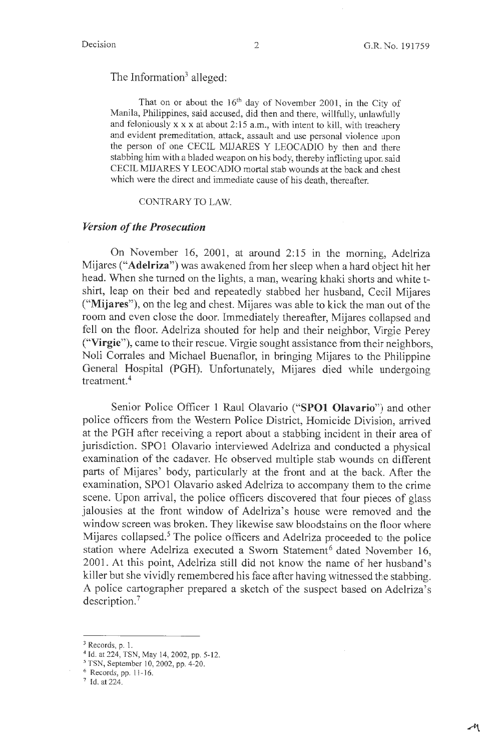# The Information<sup>3</sup> alleged:

That on or about the  $16<sup>th</sup>$  day of November 2001, in the City of Manila, Philippines, said accused, did then and there, willfully, unlawfully and feloniously  $x \times x$  at about 2:15 a.m., with intent to kill, with treachery and evident premeditation, attack, assault and use personal violence upon the person of one CECIL MIJARES Y LEOCADIO by then and there stabbing him with a bladed weapon on his body, thereby inflicting upon said CECIL MIJARES Y LEOCADIO mortal stab wounds at the back and chest which were the direct and immediate cause of his death, thereafter.

### CONTRARY TO LAW.

### *Version of the Prosecution*

On November 16, 2001, at around 2:15 in the morning, Adelriza Mijares **("Adelriza")** was awakened from her sleep when a hard object hit her head. When she turned on the lights, a man, wearing khaki shorts and white tshirt, leap on their bed and repeatedly stabbed her husband, Cecil Mijares **("Mijares"),** on the leg and chest. Mijares was able to kick the man out of the room and even close the door. Immediately thereafter, Mijares collapsed and fell on the floor. Adelriza shouted for help and their neighbor, Virgie Perey **("Virgie"),** came to their rescue. Virgie sought assistance from their neighbors, Noli Corrales and Michael Buenaflor, in bringing Mijares to the Philippine General Hospital (PGH). Unfortunately, Mijares died while undergoing treatment. <sup>4</sup>

Senior Police Officer 1 Raul Olavario **("SPOl Olavario")** and other police officers from the Western Police District, Homicide Division, arrived at the PGH after receiving a report about a stabbing incident in their area of jurisdiction. SPOl Olavario interviewed Adelriza and conducted a physical examination of the cadaver. He observed multiple stab wounds on different parts of Mijares' body, particularly at the front and at the back. After the examination, SPOl Olavario asked Adelriza to accompany them to the crime scene. Upon arrival, the police officers discovered that four pieces of glass jalousies at the front window of Adelriza's house were removed and the window screen was broken. They likewise saw bloodstains on the floor where Mijares collapsed.<sup>5</sup> The police officers and Adelriza proceeded to the police station where Adelriza executed a Sworn Statement<sup>6</sup> dated November 16, 2001. At this point, Adelriza still did not know the name of her husband's killer but she vividly remembered his face after having witnessed the stabbing. A police cartographer prepared a sketch of the suspect based on Adelriza's description.<sup>7</sup>

 $3$  Records, p. 1.

<sup>&</sup>lt;sup>4</sup> Id. at 224, TSN, May 14, 2002, pp. 5-12.

<sup>5</sup>TSN, September 10, 2002, pp. 4-20.

 $6$  Records, pp. 11-16.

<sup>7</sup> Id. at 224.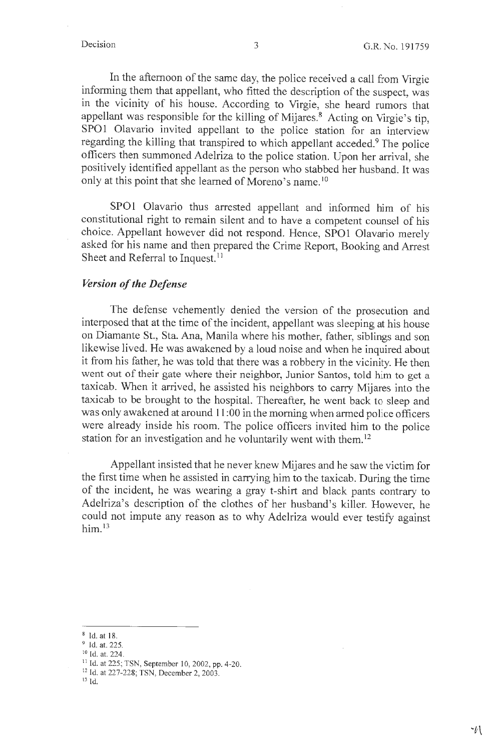In the afternoon of the same day, the police received a call from Virgie informing them that appellant, who fitted the description of the suspect, was in the vicinity of his house. According to Virgie, she heard rumors that appellant was responsible for the killing of Mijares.<sup>8</sup> Acting on Virgie's tip, SPO1 Olavario invited appellant to the police station for an interview regarding the killing that transpired to which appellant acceded.<sup>9</sup> The police officers then summoned Adelriza to the police station. Upon her arrival, she positively identified appellant as the person who stabbed her husband. It was only at this point that she learned of Moreno's name.<sup>10</sup>

SPO1 Olavario thus arrested appellant and informed him of his constitutional right to remain silent and to have a competent counsel of his choice. Appellant however did not respond. Hence, SPO1 Olavario merely asked for his name and then prepared the Crime Report, Booking and Arrest Sheet and Referral to Inquest.<sup>11</sup>

# *Version of the Defense*

The defense vehemently denied the version of the prosecution and interposed that at the time of the incident, appellant was sleeping at his house on Diamante St., Sta. Ana, Manila where his mother, father, siblings and son likewise lived. He was awakened by a loud noise and when he inquired about it from his father, he was told that there was a robbery in the vicinity. He then went out of their gate where their neighbor, Junior Santos, told him to get a taxicab. When it arrived, he assisted his neighbors to carry Mijares into the taxicab to be brought to the hospital. Thereafter, he went back to sleep and was only awakened at around 11 :00 in the morning when armed police officers were already inside his room. The police officers invited him to the police station for an investigation and he voluntarily went with them.<sup>12</sup>

Appellant insisted that he never knew Mijares and he saw the victim for the first time when he assisted in carrying him to the taxicab. During the time of the incident, he was wearing a gray t-shirt and black pants contrary to Adelriza's description of the clothes of her husband's killer. However, he could not impute any reason as to why Adelriza would ever testify against him.<sup>13</sup>

 $^{10}$  Id. at. 224.

<sup>12</sup> Id. at 227-228; TSN, December 2, 2003.

 $^8$  Id. at 18.

<sup>&</sup>lt;sup>9</sup> Id. at. 225.

<sup>&</sup>lt;sup>11</sup> Id. at 225; TSN, September 10, 2002, pp. 4-20.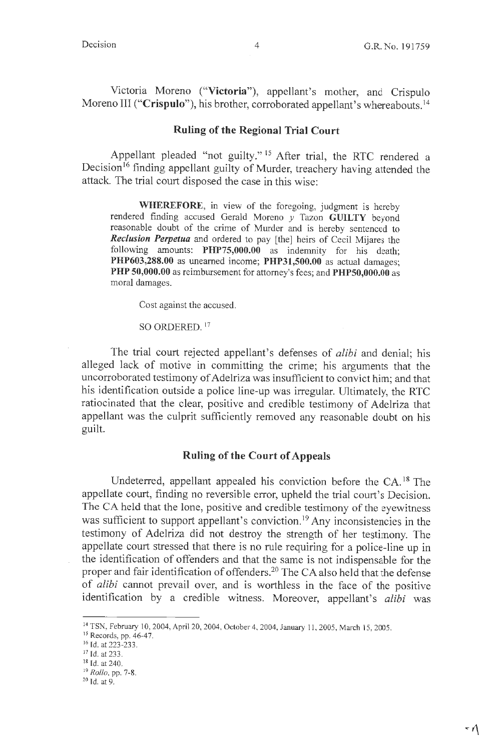Victoria Moreno **("Victoria"),** appellant's mother, and Crispulo Moreno III **("Crispulo"),** his brother, corroborated appellant's whereabouts. <sup>14</sup>

## **Ruling of the Regional Trial Court**

Appellant pleaded "not guilty."<sup>15</sup> After trial, the RTC rendered a Decision<sup>16</sup> finding appellant guilty of Murder, treachery having attended the attack. The trial court disposed the case in this wise:

**WHEREFORE,** in view of the foregoing, judgment is hereby rendered finding accused Gerald Moreno *y* Tazon **GUILTY** beyond reasonable doubt of the crime of Murder and is hereby sentenced to *Reclusion Perpetua* and ordered to pay [the] heirs of Cecil Mijares the following amounts: **PHP75,000.00** as indemnity for his death; **PHP603,288.00** as unearned income; **PHP31,S00.00** as actual damages; **PHP 50,000.00** as reimbursement for attorney's fees; and **PHPS0,000.00** as moral damages.

Cost against the accused.

### SO ORDERED.<sup>17</sup>

The trial court rejected appellant's defenses of *alibi* and denial; his alleged lack of motive in committing the crime; his arguments that the uncorroborated testimony of Adelriza was insufficient to convict him; and that his identification outside a police line-up was irregular. Ultimately, the RTC ratiocinated that the clear, positive and credible testimony of Adelriza that appellant was the culprit sufficiently removed any reasonable doubt on his guilt.

# **Ruling of the Court of Appeals**

Undeterred, appellant appealed his conviction before the CA.<sup>18</sup> The appellate court, finding no reversible error, upheld the trial court's Decision. The CA held that the lone, positive and credible testimony of the eyewitness was sufficient to support appellant's conviction.<sup>19</sup> Any inconsistencies in the testimony of Adelriza did not destroy the strength of her testimony. The appellate court stressed that there is no rule requiring for a police-line up in the identification of offenders and that the same is not indispensable for the proper and fair identification of offenders.<sup>20</sup> The CA also held that the defense of *alibi* cannot prevail over, and is worthless in the face of the positive identification by a credible witness. Moreover, appellant's *alibi* was

<sup>&</sup>lt;sup>14</sup> TSN, February 10, 2004, April 20, 2004, October 4, 2004, January 11, 2005, March 15, 2005.

<sup>&</sup>lt;sup>15</sup> Records, pp. 46-47.

<sup>&</sup>lt;sup>16</sup> Id. at 223-233.

<sup>&</sup>lt;sup>17</sup> Id. at 233.

<sup>&</sup>lt;sup>18</sup> Id. at 240.

<sup>19</sup>*Rollo,* pp. 7-8.

 $20$  Id. at 9.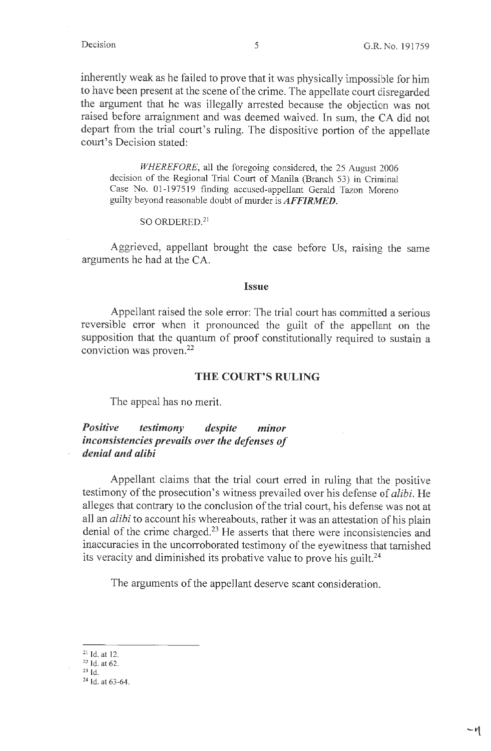$-1$ 

inherently weak as he failed to prove that it was physically impossible for him to have been present at the scene of the crime. The appellate court disregarded the argument that he was illegally arrested because the objection was not raised before arraignment and was deemed waived. In sum, the CA did not depart from the trial court's ruling. The dispositive portion of the appellate court's Decision stated:

*WHEREFORE,* all the foregoing considered, the 25 August 2006 decision of the Regional Trial Court of Manila (Branch 53) in Criminal Case No. 01-197519 finding accused-appellant Gerald Tazon Moreno guilty beyond reasonable doubt of murder is *AFFIRMED.* 

### SO ORDERED.<sup>21</sup>

Aggrieved, appellant brought the case before Us, raising the same arguments he had at the CA.

### **Issue**

Appellant raised the sole error: The trial court has committed a serious reversible error when it pronounced the guilt of the appellant on the supposition that the quantum of proof constitutionally required to sustain a conviction was proven.<sup>22</sup>

### **THE COURT'S RULING**

The appeal has no merit.

# *Positive testimony despite minor inconsistencies prevails over the defenses of denial and alibi*

Appellant claims that the trial court erred in ruling that the positive testimony of the prosecution's witness prevailed over his defense of *alibi.* He alleges that contrary to the conclusion of the trial court, his defense was not at all an *alibi* to account his whereabouts, rather it was an attestation of his plain denial of the crime charged.<sup>23</sup> He asserts that there were inconsistencies and inaccuracies in the uncorroborated testimony of the eyewitness that tarnished its veracity and diminished its probative value to prove his guilt.<sup>24</sup>

The arguments of the appellant deserve scant consideration.

 $^{21}$  Id. at 12.

 $22$  Id. at 62.

 $^{23}$  Id.

<sup>24</sup> Id. at 63-64.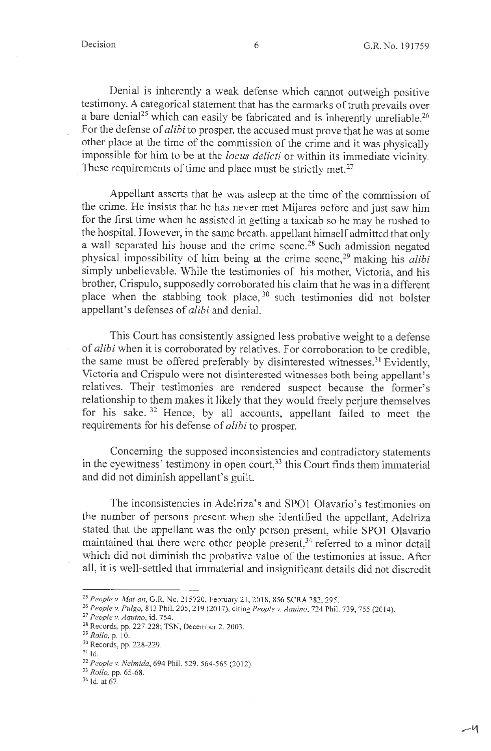Denial is inherently a weak defense which cannot outweigh positive testimony. A categorical statement that has the earmarks of truth prevails over a bare denial<sup>25</sup> which can easily be fabricated and is inherently unreliable.<sup>26</sup> For the defense of *alibi* to prosper, the accused must prove that he was at some other place at the time of the commission of the crime and it was physically impossible for him to be at the *locus delicti* or within its immediate vicinity. These requirements of time and place must be strictly met.<sup>27</sup>

Appellant asserts that he was asleep at the time of the commission of the crime. He insists that he has never met Mijares before and just saw him for the first time when he assisted in getting a taxicab so he may be rushed to the hospital. However, in the same breath, appellant himself admitted that only a wall separated his house and the crime scene.<sup>28</sup> Such admission negated <sup>p</sup>hysical impossibility of him being at the crime scene, 29 making his *alibi*  simply unbelievable. While the testimonies of his mother, Victoria, and his brother, Crispulo, supposedly corroborated his claim that he was in a different place when the stabbing took place,  $30$  such testimonies did not bolster appellant's defenses of *alibi* and denial.

This Court has consistently assigned less probative weight to a defense of *alibi* when it is corroborated by relatives. For corroboration to be credible, the same must be offered preferably by disinterested witnesses.<sup>31</sup> Evidently, Victoria and Crispulo were not disinterested witnesses both being appellant's relatives. Their testimonies are rendered suspect because the former's relationship to them makes it likely that they would freely perjure themselves for his sake. 32 Hence, by all accounts, appellant failed to meet the requirements for his defense of *alibi* to prosper.

Concerning the supposed inconsistencies and contradictory statements in the eyewitness' testimony in open court,<sup>33</sup> this Court finds them immaterial and did not diminish appellant's guilt.

The inconsistencies in Adelriza's and SPOl Olavario's testimonies on the number of persons present when she identified the appellant, Adelriza stated that the appellant was the only person present, while SPO1 Olavario maintained that there were other people present,<sup>34</sup> referred to a minor detail which did not diminish the probative value of the testimonies at issue. After all, it is well-settled that immaterial and insignificant details did not discredit

<sup>25</sup>*People v. Mat-an,* G.R. No. 215720, February 2 I, 2018, 856 SCRA 282, 295.

<sup>&</sup>lt;sup>26</sup> People v. Pulgo, 813 Phil. 205, 219 (2017), citing People v. Aquino, 724 Phil. 739, 755 (2014).

<sup>27</sup>*People v. Aquino,* id. 754.

<sup>28</sup> Records, pp. 227-228; TSN, December 2, 2003.

<sup>&</sup>lt;sup>29</sup> Rollo, p. 10.

<sup>30</sup> Records, pp. 228-229.

<sup>31</sup> Id.

<sup>&</sup>lt;sup>32</sup> People v. Nelmida, 694 Phil. 529, 564-565 (2012).

<sup>33</sup>*Rollo,* pp. 65-68.

<sup>&</sup>lt;sup>34</sup> Id. at 67.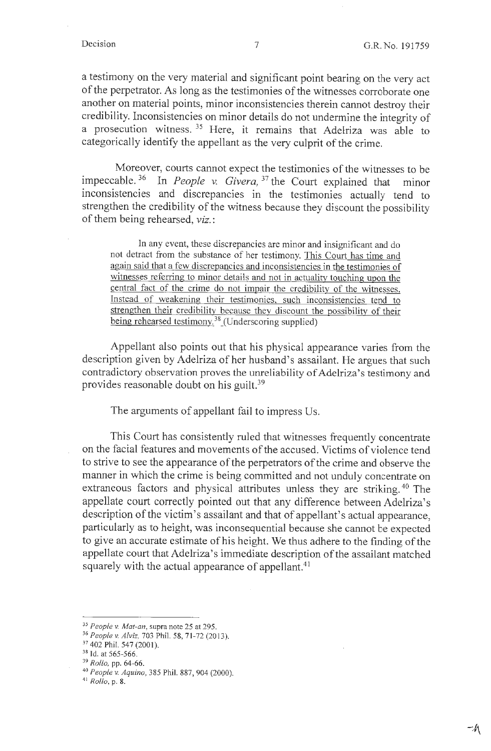a testimony on the very material and significant point bearing on the very act of the perpetrator. As long as the testimonies of the witnesses corroborate one another on material points, minor inconsistencies therein cannot destroy their credibility. Inconsistencies on minor details do not undermine the integrity of a prosecution witness. 35 Here, it remains that Adelriza was able to categorically identify the appellant as the very culprit of the crime.

Moreover, courts cannot expect the testimonies of the witnesses to be impeccable. 36 In *People v. Givera,* 37 the Court explained that minor inconsistencies and discrepancies in the testimonies actually tend to strengthen the credibility of the witness because they discount the possibility of them being rehearsed, *viz.:* 

In any event, these discrepancies are minor and insignificant and do not detract from the substance of her testimony. This Court has time and again said that a few discrepancies and inconsistencies in the testimonies of witnesses referring to minor details and not in actuality touching upon the central fact of the crime do not impair the credibility of the witnesses. Instead of weakening their testimonies. such inconsistencies tend to strengthen their credibility because they discount the possibility of their being rehearsed testimony.<sup>38</sup> (Underscoring supplied)

Appellant also points out that his physical appearance varies from the description given by Adelriza of her husband's assailant. He argues that such contradictory observation proves the unreliability of Adelriza's testimony and provides reasonable doubt on his guilt.<sup>39</sup>

The arguments of appellant fail to impress Us.

This Court has consistently ruled that witnesses frequently concentrate on the facial features and movements of the accused. Victims of violence tend to strive to see the appearance of the perpetrators of the crime and observe the manner in which the crime is being committed and not unduly concentrate on extraneous factors and physical attributes unless they are striking.<sup>40</sup> The appellate court correctly pointed out that any difference between Adelriza's description of the victim's assailant and that of appellant's actual appearance, particularly as to height, was inconsequential because she cannot be expected to give an accurate estimate of his height. We thus adhere to the finding of the appellate court that Adelriza's immediate description of the assailant matched squarely with the actual appearance of appellant. $41$ 

<sup>35</sup>*People v. Mat-an,* supra note 25 at 295.

<sup>&</sup>lt;sup>36</sup> People v. Alviz, 703 Phil. 58, 71-72 (2013).

<sup>37 402</sup> Phil. 547 (2001).

 $38$  Id. at 565-566.

<sup>39</sup>*Rollo,* pp. 64-66.

<sup>40</sup>*People v. Aquino,* 385 Phil. 887, 904 (2000).

<sup>41</sup>*Rollo,* p. 8.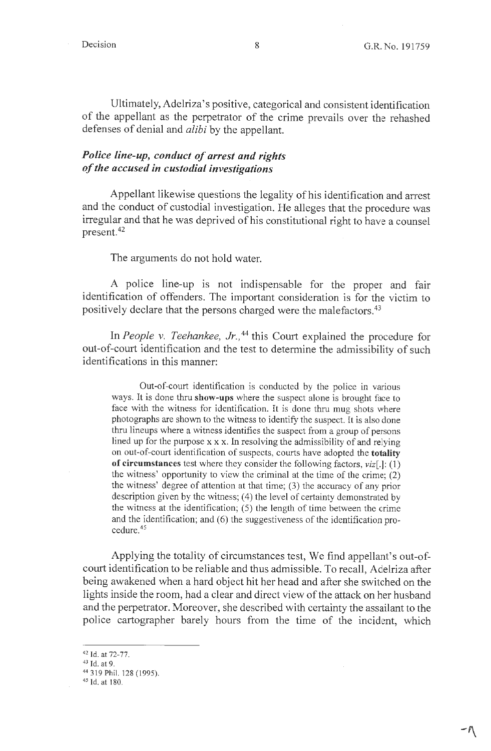$-\eta$ 

Ultimately, Adelriza' s positive, categorical and consistent identification of the appellant as the perpetrator of the crime prevails over the rehashed defenses of denial and *alibi* by the appellant.

# *Police line-up, conduct of arrest and rights of the accused in custodial investigations*

Appellant likewise questions the legality of his identification and arrest and the conduct of custodial investigation. He alleges that the procedure was irregular and that he was deprived of his constitutional right to have a counsel present.<sup>42</sup>

### The arguments do not hold water.

A police line-up is not indispensable for the proper and fair identification of offenders. The important consideration is for the victim to positively declare that the persons charged were the malefactors.<sup>43</sup>

In *People v. Teehankee, Jr.,* 44 this Court explained the procedure for out-of-court identification and the test to determine the admissibility of such identifications in this manner:

Out-of-court identification is conducted by the police in various ways. It is done thru **show-ups** where the suspect alone is brought face to face with the witness for identification. It is done thru mug shots where photographs are shown to the witness to identify the suspect. It is also done thru lineups where a witness identifies the suspect from a group of persons lined up for the purpose  $x \times x$ . In resolving the admissibility of and relying on out-of-court identification of suspects, courts have adopted the **totality of circumstances** test where they consider the following factors, viz[.]: (1) the witness' opportunity to view the criminal at the time of the crime; (2) the witness' degree of attention at that time; (3) the accuracy of any prior description given by the witness; (4) the level of certainty demonstrated by the witness at the identification; (5) the length of time between the crime and the identification; and (6) the suggestiveness of the identification procedure.<sup>45</sup>

Applying the totality of circumstances test, We find appellant's out-ofcourt identification to be reliable and thus admissible. To recall, Adelriza after being awakened when a hard object hit her head and after she switched on the lights inside the room, had a clear and direct view of the attack on her husband and the perpetrator. Moreover, she described with certainty the assailant to the police cartographer barely hours from the time of the incident, which

<sup>42</sup> Id. at 72-77.

<sup>&</sup>lt;sup>43</sup> Id. at 9.

<sup>&</sup>lt;sup>44</sup> 319 Phil. 128 (1995).

<sup>&</sup>lt;sup>45</sup> Id. at 180.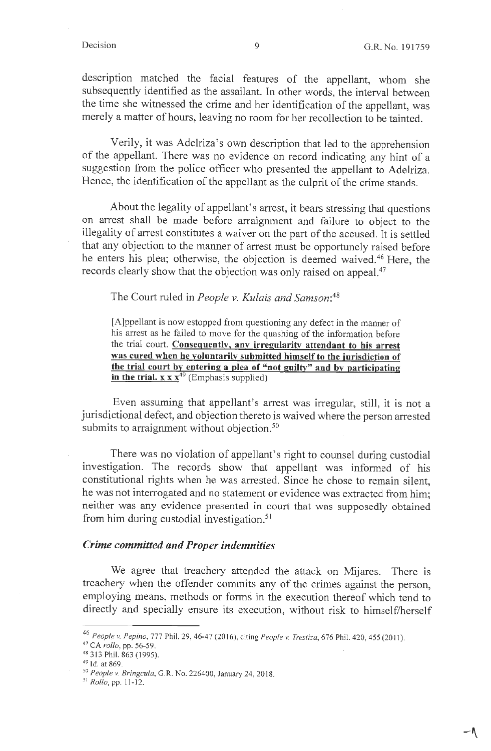$-\sqrt{ }$ 

description matched the facial features of the appellant, whom she subsequently identified as the assailant. In other words, the interval between the time she witnessed the crime and her identification of the appellant, was merely a matter of hours, leaving no room for her recollection to be tainted.

Verily, it was Adelriza's own description that led to the apprehension of the appellant. There was no evidence on record indicating any hint of a suggestion from the police officer who presented the appellant to Adelriza. Hence, the identification of the appellant as the culprit of the crime stands.

About the legality of appellant's arrest, it bears stressing that questions on arrest shall be made before arraignment and failure to object to the illegality of arrest constitutes a waiver on the part of the accused. It is settled that any objection to the manner of arrest must be opportunely raised before he enters his plea; otherwise, the objection is deemed waived.46 Here, the records clearly show that the objection was only raised on appeal.<sup>47</sup>

The Court ruled in *People v. Kulais and Samson:48* 

[A]ppellant is now estopped from questioning any defect in the manner of his arrest as he failed to move for the quashing of the information before the trial court. **Consequently, any irregularity attendant to his arrest was cured when he voluntarily submitted himself to the iurisdiction of the trial court by entering a plea of "not guilty" and by participating**  in the trial. x x x<sup>49</sup> (Emphasis supplied)

Even assuming that appellant's arrest was irregular, still, it is not a jurisdictional defect, and objection thereto is waived where the person arrested submits to arraignment without objection.<sup>50</sup>

There was no violation of appellant's right to counsel during custodial investigation. The records show that appellant was informed of his constitutional rights when he was arrested. Since he chose to remain silent, he was not interrogated and no statement or evidence was extracted from him; neither was any evidence presented in court that was supposedly obtained from him during custodial investigation. <sup>51</sup>

## *Crime committed and Proper indemnities*

We agree that treachery attended the attack on Mijares. There is treachery when the offender commits any of the crimes against the person, employing means, methods or forms in the execution thereof which tend to directly and specially ensure its execution, without risk to himself/herself

<sup>47</sup>CA *rollo,* pp. 56-59.

<sup>46</sup>*People v. Pepino,* 777 Phil. 29, 46-47 (2016), citing *People v. Trestiza,* 676 Phil. 420,455(2011).

<sup>&</sup>lt;sup>48</sup> 313 Phil. 863 (1995).

<sup>&</sup>lt;sup>49</sup> Id. at 869.

<sup>50</sup>*People v. Bringcula,* G.R. No. 226400, January 24, 20 18.

<sup>5</sup> <sup>1</sup>*Rollo,* pp. <sup>11</sup> -12.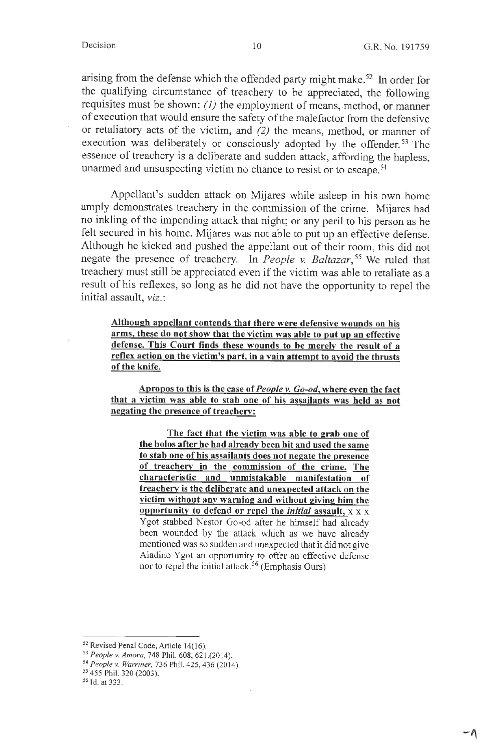$-\Lambda$ 

arising from the defense which the offended party might make.<sup>52</sup> In order for the qualifying circumstance of treachery to be appreciated, the following requisites must be shown: *(1)* the employment of means, method, or manner of execution that would ensure the safety of the malefactor from the defensive or retaliatory acts of the victim, and *(2)* the means, method, or manner of execution was deliberately or consciously adopted by the offender.<sup>53</sup> The essence of treachery is a deliberate and sudden attack, affording the hapless, unarmed and unsuspecting victim no chance to resist or to escape.<sup>54</sup>

Appellant's sudden attack on Mijares while asleep in his own home amply demonstrates treachery in the commission of the crime. Mijares had no inkling of the impending attack that night; or any peril to his person as he felt secured in his home. Mijares was not able to put up an effective defense. Although he kicked and pushed the appellant out of their room, this did not negate the presence of treachery. In *People v. Baltazar,* 55 We ruled that treachery must still be appreciated even if the victim was able to retaliate as a result of his reflexes, so long as he did not have the opportunity to repel the initial assault, *viz.:* 

**Although appellant contends that there were defensive wounds on his arms, these do not show that the victim was able to put up an effective defense. This Court finds these wounds to be merely the result of a reflex action on the victim's part, in a vain attempt to avoid the thrusts of the knife.** 

**Apropos to this is the case of** *People v. Go-od,* **where even the fact that a victim was able to stab one of his assailants was held as not negating the presence of treachery:** 

**The fact that the victim was able to grab one of the bolos after he had already been hit and used the same to stab one of his assailants does not negate the presence of treachery in the commission of the crime. The characteristic and unmistakable manifestation of treachery is the deliberate and unexpected attack on the victim without any warning and without giving him the opportunity to defend or repel the** *initial* **assault,** x x x Ygot stabbed Nestor Go-od after he himself had already been wounded by the attack which as we have already mentioned was so sudden and unexpected that it did not give Aladino Ygot an opportunity to offer an effective defense nor to repel the initial attack.<sup>56</sup> (Emphasis Ours)

 $52$  Revised Penal Code, Article 14(16).

*<sup>53</sup> People v. Amara,* 748 Phil. 608, 621.(2014).

*<sup>54</sup> People* v. *Warriner,* 736 Phil. 425, 436 (2014).

*<sup>55</sup>*455 Phil. 320 (2003).

*<sup>56</sup>*Id. at 333.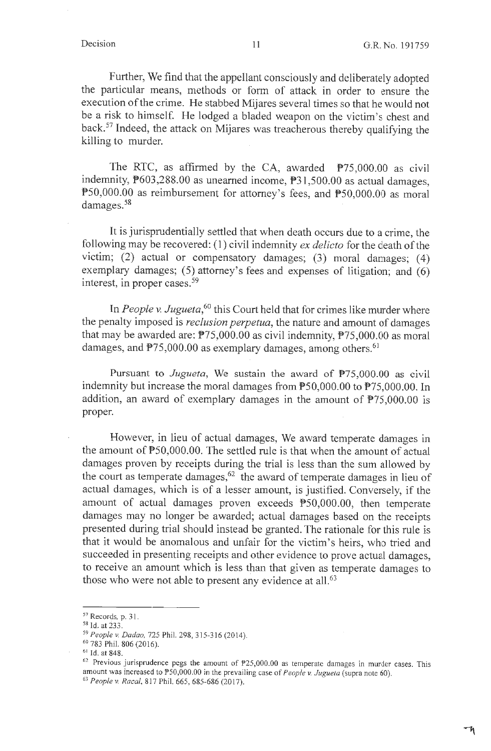$\mathcal{A}$ 

Further, We find that the appellant consciously and deliberately adopted the particular means, methods or form of attack in order to ensure the execution of the crime. He stabbed Mijares several times so that he would not be a risk to himself. He lodged a bladed weapon on the victim's chest and back.57 Indeed, the attack on Mijares was treacherous thereby qualifying the killing to murder.

The RTC, as affirmed by the CA, awarded  $P75,000.00$  as civil indemnity, P603,288.00 as unearned income, P31,500.00 as actual damages, PS0,000.00 as reimbursement for attorney's fees, and P50,000.00 as moral damages.<sup>58</sup>

It is jurisprudentially settled that when death occurs due to a crime, the following may be recovered: (1) civil indemnity *ex delicto* for the death of the victim; (2) actual or compensatory damages; (3) moral damages; (4) exemplary damages; (5) attorney's fees and expenses of litigation; and (6) interest, in proper cases. 59

In *People v. Jugueta*,<sup>60</sup> this Court held that for crimes like murder where the penalty imposed is *reclusion perpetua,* the nature and amount of damages that may be awarded are:  $P75,000.00$  as civil indemnity,  $P75,000.00$  as moral damages, and  $P75,000.00$  as exemplary damages, among others.<sup>61</sup>

Pursuant to *Jugueta*, We sustain the award of  $P75,000.00$  as civil indemnity but increase the moral damages from P50,000.00 to P75,000.00. In addition, an award of exemplary damages in the amount of P75,000.00 is proper.

However, in lieu of actual damages, We award temperate damages in the amount of  $P50,000.00$ . The settled rule is that when the amount of actual damages proven by receipts during the trial is less than the sum allowed by the court as temperate damages,  $62$  the award of temperate damages in lieu of actual damages, which is of a lesser amount, is justified. Conversely, if the amount of actual damages proven exceeds P50,000.00, then temperate damages may no longer be awarded; actual damages based on the receipts presented during trial should instead be granted. The rationale for this rule is that it would be anomalous and unfair for the victim's heirs, who tried and succeeded in presenting receipts and other evidence to prove actual damages, to receive an amount which is less than that given as temperate damages to those who were not able to present any evidence at all.<sup>63</sup>

<sup>57</sup> Records, p. 31.

<sup>58</sup> Id. at 233.

<sup>59</sup>*People* v. *Dadao,* 725 Phil. 298, 315-316(2014).

<sup>60 783</sup> Phil. 806 (2016).

<sup>&</sup>lt;sup>61</sup> Id. at 848.

 $62$  Previous jurisprudence pegs the amount of  $P25,000.00$  as temperate damages in murder cases. This amount was increased to P50,000.00 in the prevailing case of *People v. Jugueta* (supra note 60).

<sup>63</sup>*People v. Racal,* 817 Phil. 665, 685-686 (2017).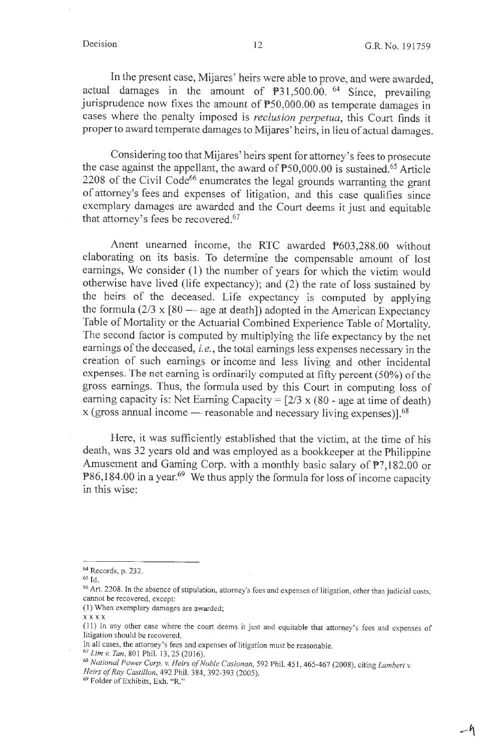-~

In the present case, Mijares' heirs were able to prove, and were awarded, actual damages in the amount of P31,500.00. 64 Since, prevailing jurisprudence now fixes the amount of P50,000.00 as temperate damages in cases where the penalty imposed is *reclusion perpetua,* this Court finds it proper to award temperate damages to Mijares' heirs, in lieu of actual damages.

Considering too that Mijares' heirs spent for attorney's fees to prosecute the case against the appellant, the award of P50,000.00 is sustained.<sup>65</sup> Article  $2208$  of the Civil Code<sup>66</sup> enumerates the legal grounds warranting the grant of attorney's fees and expenses of litigation, and this case qualifies since exemplary damages are awarded and the Court deems it just and equitable that attorney's fees be recovered.<sup>67</sup>

Anent unearned income, the RTC awarded P603,288.00 without elaborating on its basis. To determine the compensable amount of lost earnings, We consider (1) the number of years for which the victim would otherwise have lived (life expectancy); and (2) the rate of loss sustained by the heirs of the deceased. Life expectancy is computed by applying the formula  $(2/3 \times [80 - \text{age at death}])$  adopted in the American Expectancy Table of Mortality or the Actuarial Combined Experience Table of Mortality. The second factor is computed by multiplying the life expectancy by the net earnings of the deceased, *i.e.,* the total earnings less expenses necessary in the creation of such earnings or income and less living and other incidental expenses. The net earning is ordinarily computed at fifty percent (50%) of the gross earnings. Thus, the formula used by this Court in computing loss of earning capacity is: Net Earning Capacity =  $\lceil 2/3 \times (80 \rceil)$  age at time of death)  $x$  (gross annual income  $-$  reasonable and necessary living expenses)].<sup>68</sup>

Here, it was sufficiently established that the victim, at the time of his death, was 32 years old and was employed as a bookkeeper at the Philippine Amusement and Gaming Corp. with a monthly basic salary of P7,182.00 or  $P86,184.00$  in a year.<sup>69</sup> We thus apply the formula for loss of income capacity in this wise:

**xxxx** 

<sup>64</sup> Records, p. 232.

<sup>65</sup> Id.

<sup>&</sup>lt;sup>66</sup> Art. 2208. In the absence of stipulation, attorney's fees and expenses of litigation, other than judicial costs, cannot be recovered, except:

<sup>(</sup>I) When exemplary damages are awarded;

<sup>(11)</sup> In any other case where the court deems it just and equitable that attorney's fees and expenses of litigation should be recovered.

In all cases, the attorney's fees and expenses of litigation must be reasonable.

<sup>&</sup>lt;sup>67</sup> Lim v. Tan, 801 Phil. 13, 25 (2016).

<sup>68</sup>*National Power Corp. v. Heirs of Noble Casionan,* 592 Phil. 451 , 465-467 (2008), citing *Lambert v. Heirs of Ray Castillon,* 492 Phil. 384, 392-393 (2005).

<sup>69</sup> Folder of Exhibits, Exh. "R."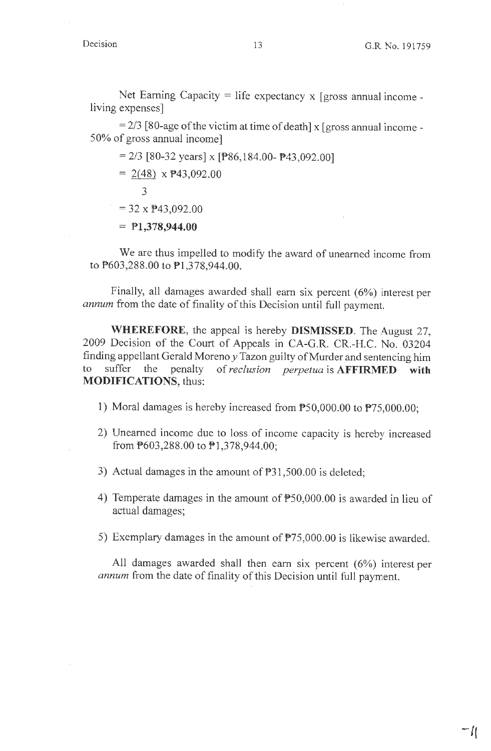$-1$ (

Net Earning Capacity = life expectancy  $x$  [gross annual income living expenses]

 $= 2/3$  [80-age of the victim at time of death] x [gross annual income -50% of gross annual income]

 $= 2/3$  [80-32 years] x [P86,184.00- P43,092.00]

 $= 2(48) \times P43,092.00$ 

3

 $=$  32 x **P43,092.00** 

<sup>=</sup>**Pl,378,944.00** 

We are thus impelled to modify the award of unearned income from to P603,288.00 to P1,378,944.00.

Finally, all damages awarded shall earn six percent (6%) interest per *annum* from the date of finality of this Decision until full payment.

**WHEREFORE,** the appeal is hereby **DISMISSED.** The August 27, 2009 Decision of the Court of Appeals in CA-G.R. CR.-H.C. No. 03204 finding appellant Gerald Moreno *y* Tazon guilty of Murder and sentencing him to suffer the penalty of *reclusion perpetua* is **AFFIRMED with MODIFICATIONS,** thus:

- 1) Moral damages is hereby increased from PS0,000.00 to P75,000.00;
- 2) Unearned income due to loss of income capacity is hereby increased from **P603,288.00** to **P1,378,944.00**;
- 3) Actual damages in the amount of P31,500.00 is deleted;
- 4) Temperate damages in the amount of  $P$ 50,000.00 is awarded in lieu of actual damages;
- 5) Exemplary damages in the amount of P75,000.00 is likewise awarded.

All damages awarded shall then earn six percent (6%) interest per *annum* from the date of finality of this Decision until full payment.